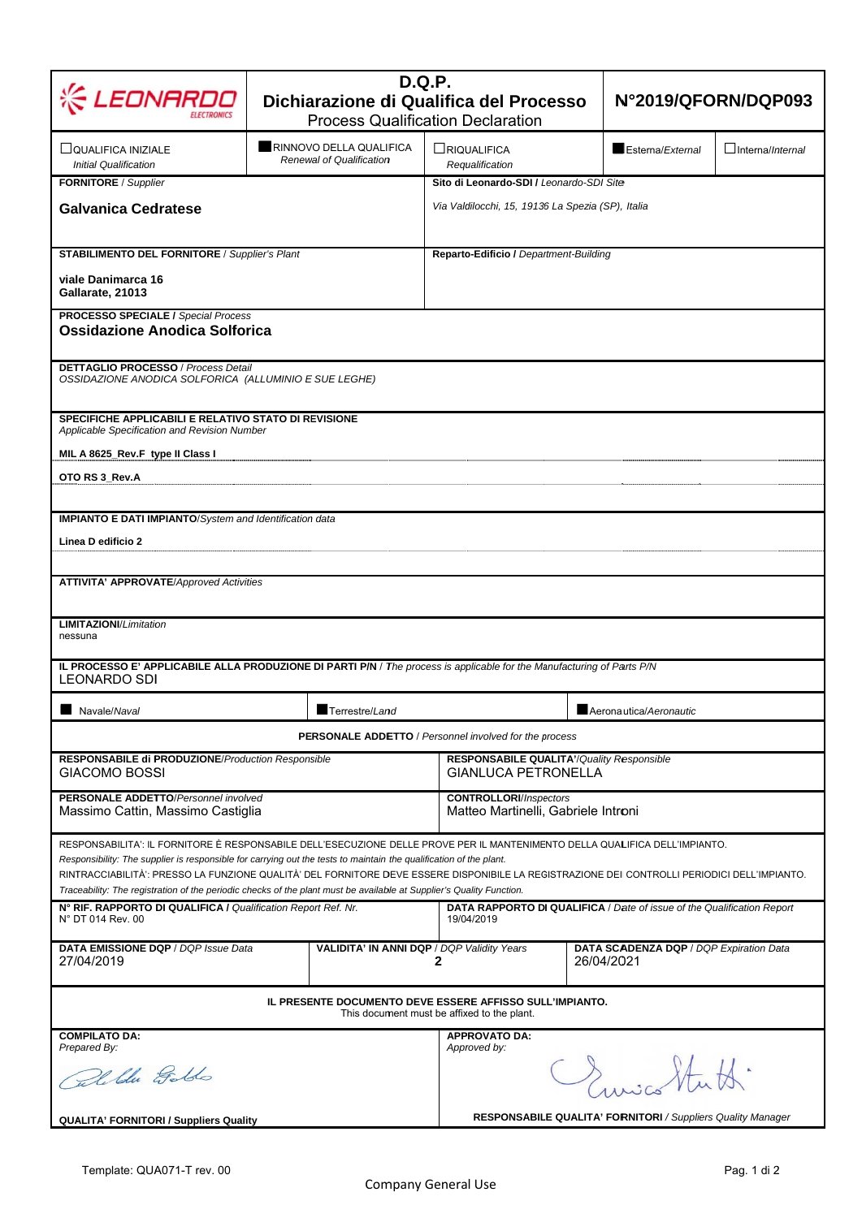| .EONARD                                                                                                                                                                                                                                                                                                                                                                                                                                                                                                                   | <b>D.Q.P.</b><br>Dichiarazione di Qualifica del Processo<br><b>Process Qualification Declaration</b> | N°2019/QFORN/DQP093                                                                           |                                                       |  |  |  |  |
|---------------------------------------------------------------------------------------------------------------------------------------------------------------------------------------------------------------------------------------------------------------------------------------------------------------------------------------------------------------------------------------------------------------------------------------------------------------------------------------------------------------------------|------------------------------------------------------------------------------------------------------|-----------------------------------------------------------------------------------------------|-------------------------------------------------------|--|--|--|--|
| ∐QUALIFICA INIZIALE<br><b>Initial Qualification</b>                                                                                                                                                                                                                                                                                                                                                                                                                                                                       | RINNOVO DELLA QUALIFICA<br>Renewal of Qualification                                                  | LRIQUALIFICA<br>Requalification                                                               | Esterna/External<br>$\Box$ Interna/ <i>Internal</i>   |  |  |  |  |
| FORNITORE / Supplier<br><b>Galvanica Cedratese</b>                                                                                                                                                                                                                                                                                                                                                                                                                                                                        |                                                                                                      | Sito di Leonardo-SDI / Leonardo-SDI Site<br>Via Valdilocchi, 15, 19136 La Spezia (SP), Italia |                                                       |  |  |  |  |
| <b>STABILIMENTO DEL FORNITORE / Supplier's Plant</b><br>viale Danimarca 16<br>Gallarate, 21013                                                                                                                                                                                                                                                                                                                                                                                                                            |                                                                                                      | Reparto-Edificio / Department-Building                                                        |                                                       |  |  |  |  |
| <b>PROCESSO SPECIALE / Special Process</b><br>Ossidazione Anodica Solforica                                                                                                                                                                                                                                                                                                                                                                                                                                               |                                                                                                      |                                                                                               |                                                       |  |  |  |  |
| <b>DETTAGLIO PROCESSO / Process Detail</b><br>OSSIDAZIONE ANODICA SOLFORICA (ALLUMINIO E SUE LEGHE)                                                                                                                                                                                                                                                                                                                                                                                                                       |                                                                                                      |                                                                                               |                                                       |  |  |  |  |
| SPECIFICHE APPLICABILI E RELATIVO STATO DI REVISIONE<br>Applicable Specification and Revision Number                                                                                                                                                                                                                                                                                                                                                                                                                      |                                                                                                      |                                                                                               |                                                       |  |  |  |  |
| MIL A 8625_Rev.F type II Class I<br>OTO RS 3 Rev.A                                                                                                                                                                                                                                                                                                                                                                                                                                                                        |                                                                                                      |                                                                                               |                                                       |  |  |  |  |
| <b>IMPIANTO E DATI IMPIANTO/System and Identification data</b><br>Linea D edificio 2                                                                                                                                                                                                                                                                                                                                                                                                                                      |                                                                                                      |                                                                                               |                                                       |  |  |  |  |
| <b>ATTIVITA' APPROVATE/Approved Activities</b><br><b>LIMITAZIONI/Limitation</b><br>nessuna                                                                                                                                                                                                                                                                                                                                                                                                                                |                                                                                                      |                                                                                               |                                                       |  |  |  |  |
| IL PROCESSO E' APPLICABILE ALLA PRODUZIONE DI PARTI P/N / The process is applicable for the Manufacturing of Parts P/N<br><b>LEONARDO SDI</b>                                                                                                                                                                                                                                                                                                                                                                             |                                                                                                      |                                                                                               |                                                       |  |  |  |  |
| Navale/Naval                                                                                                                                                                                                                                                                                                                                                                                                                                                                                                              | Terrestre/Land                                                                                       | Aeronautica/Aeronautic                                                                        |                                                       |  |  |  |  |
| <b>PERSONALE ADDETTO</b> / Personnel involved for the process                                                                                                                                                                                                                                                                                                                                                                                                                                                             |                                                                                                      |                                                                                               |                                                       |  |  |  |  |
| RESPONSABILE di PRODUZIONE/Production Responsible<br>GIACOMO BOSSI                                                                                                                                                                                                                                                                                                                                                                                                                                                        |                                                                                                      | <b>RESPONSABILE QUALITA'/Quality Responsible</b><br><b>GIANLUCA PETRONELLA</b>                |                                                       |  |  |  |  |
| <b>PERSONALE ADDETTO/Personnel involved</b><br>Massimo Cattin, Massimo Castiglia                                                                                                                                                                                                                                                                                                                                                                                                                                          |                                                                                                      | <b>CONTROLLORI/Inspectors</b><br>Matteo Martinelli, Gabriele Introni                          |                                                       |  |  |  |  |
| RESPONSABILITA': IL FORNITORE È RESPONSABILE DELL'ESECUZIONE DELLE PROVE PER IL MANTENIMENTO DELLA QUALIFICA DELL'IMPIANTO.<br>Responsibility: The supplier is responsible for carrying out the tests to maintain the qualification of the plant.<br>RINTRACCIABILITÀ': PRESSO LA FUNZIONE QUALITÀ' DEL FORNITORE DEVE ESSERE DISPONIBILE LA REGISTRAZIONE DEI CONTROLLI PERIODICI DELL'IMPIANTO.<br>Traceability: The registration of the periodic checks of the plant must be available at Supplier's Quality Function. |                                                                                                      |                                                                                               |                                                       |  |  |  |  |
| N° RIF. RAPPORTO DI QUALIFICA / Qualification Report Ref. Nr.<br><b>DATA RAPPORTO DI QUALIFICA</b> / Date of issue of the Qualification Report<br>N° DT 014 Rev. 00<br>19/04/2019                                                                                                                                                                                                                                                                                                                                         |                                                                                                      |                                                                                               |                                                       |  |  |  |  |
| DATA EMISSIONE DQP / DQP Issue Data<br>27/04/2019                                                                                                                                                                                                                                                                                                                                                                                                                                                                         | VALIDITA' IN ANNI DQP / DQP Validity Years                                                           | 2                                                                                             | DATA SCADENZA DQP / DQP Expiration Data<br>26/04/2021 |  |  |  |  |
| IL PRESENTE DOCUMENTO DEVE ESSERE AFFISSO SULL'IMPIANTO.<br>This document must be affixed to the plant.                                                                                                                                                                                                                                                                                                                                                                                                                   |                                                                                                      |                                                                                               |                                                       |  |  |  |  |
| <b>COMPILATO DA:</b><br>Prepared By:                                                                                                                                                                                                                                                                                                                                                                                                                                                                                      |                                                                                                      | <b>APPROVATO DA:</b><br>Approved by:                                                          |                                                       |  |  |  |  |
| Calible Golds                                                                                                                                                                                                                                                                                                                                                                                                                                                                                                             |                                                                                                      | Crisica Stutt.                                                                                |                                                       |  |  |  |  |
| <b>QUALITA' FORNITORI / Suppliers Quality</b>                                                                                                                                                                                                                                                                                                                                                                                                                                                                             |                                                                                                      | RESPONSABILE QUALITA' FORNITORI / Suppliers Quality Manager                                   |                                                       |  |  |  |  |